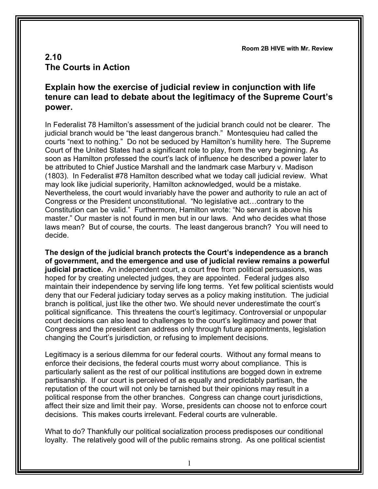**Room 2B HIVE with Mr. Review**

## **2.10 The Courts in Action**

## **Explain how the exercise of judicial review in conjunction with life tenure can lead to debate about the legitimacy of the Supreme Court's power.**

In Federalist 78 Hamilton's assessment of the judicial branch could not be clearer. The judicial branch would be "the least dangerous branch." Montesquieu had called the courts "next to nothing." Do not be seduced by Hamilton's humility here. The Supreme Court of the United States had a significant role to play, from the very beginning. As soon as Hamilton professed the court's lack of influence he described a power later to be attributed to Chief Justice Marshall and the landmark case Marbury v. Madison (1803). In Federalist #78 Hamilton described what we today call judicial review. What may look like judicial superiority, Hamilton acknowledged, would be a mistake. Nevertheless, the court would invariably have the power and authority to rule an act of Congress or the President unconstitutional. "No legislative act…contrary to the Constitution can be valid." Furthermore, Hamilton wrote: "No servant is above his master." Our master is not found in men but in our laws. And who decides what those laws mean? But of course, the courts. The least dangerous branch? You will need to decide.

**The design of the judicial branch protects the Court's independence as a branch of government, and the emergence and use of judicial review remains a powerful judicial practice.** An independent court, a court free from political persuasions, was hoped for by creating unelected judges, they are appointed. Federal judges also maintain their independence by serving life long terms. Yet few political scientists would deny that our Federal judiciary today serves as a policy making institution. The judicial branch is political, just like the other two. We should never underestimate the court's political significance. This threatens the court's legitimacy. Controversial or unpopular court decisions can also lead to challenges to the court's legitimacy and power that Congress and the president can address only through future appointments, legislation changing the Court's jurisdiction, or refusing to implement decisions.

Legitimacy is a serious dilemma for our federal courts. Without any formal means to enforce their decisions, the federal courts must worry about compliance. This is particularly salient as the rest of our political institutions are bogged down in extreme partisanship. If our court is perceived of as equally and predictably partisan, the reputation of the court will not only be tarnished but their opinions may result in a political response from the other branches. Congress can change court jurisdictions, affect their size and limit their pay. Worse, presidents can choose not to enforce court decisions. This makes courts irrelevant. Federal courts are vulnerable.

What to do? Thankfully our political socialization process predisposes our conditional loyalty. The relatively good will of the public remains strong. As one political scientist